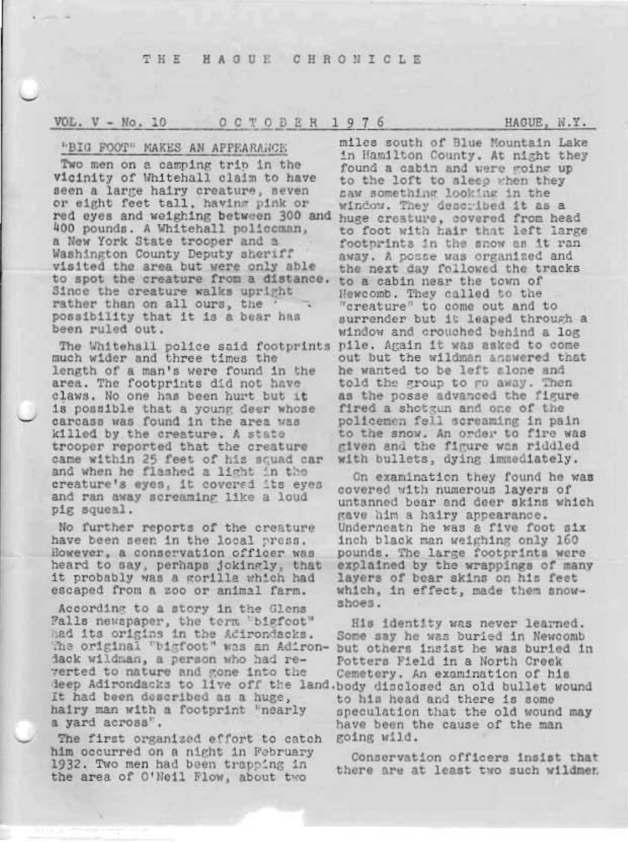# VOL.  $V - No. 10$  OCTOBER 1976

### "BIG FOOT" MAKES AN APPEARANCE

Two men on a camping trip in the vicinity of Whitehall claim to have seen a large hairy creature, seven or eight feet tall, having pink or red eyes and weighing between 300 and huge creature, covered from head 400 pounds. A Whitehall policeman, a New York State trooper and a Washington County Deputy sheriff visited the area but were only able to spot the creature from a distance. Since the creature walks upright rather than on all ours, the possibility that it is a bear has been ruled out.

much wider and three times the length of a man's were found in the area. The footprints did not have claws. No one has been hurt but it is possible that a young deer whose carcass was found in the area was killed by the creature. A state trooper reported that the creature came within 25 feet of his squad car and when he flashed a light in the creature's eyes, it covered its eyes and ran away screaming like a loud pig squeal.

No further reports of the creature have been seen in the local press. However, a conservation officer was heard to say, perhaps jokingly, that it probably was a gorilla which had escaped from a zoo or animal farm.

According to a story in the Glens Palls newspaper, the term "bigfoot" had its origins in the Adirondacks. The original "bigfoot" was an Adirondack wildman, a person who had reverted to nature and gone into the deep Adirondacks to live off the land. body disclosed an old bullet wound It had been described as a huge, hairy man with a footprint "nearly a yard across".

The first organized effort to catch him occurred on a night in February 1932. Two men had been trapping in the area of O'Neil Flow, about two

miles south of Blue Mountain Lake in Hamilton County. At night they found a cabin and were going up to the loft to sleep when they saw something looking in the window. They described it as a to foot with hair that left large footprints in the snow as it ran away. A posse was organized and the next day followed the tracks to a cabin near the town of Newcomb. They called to the "creature" to come out and to surrender but it leaped through a window and crouched behind a log The Whitehall police said footprints pile. Again it was asked to come out but the wildman answered that he wanted to be left alone and told the group to go away. Then as the posse advanced the figure fired a shotgun and one of the policemen fell screaming in pain to the snow. An order to fire was given and the figure was riddled with bullets, dying immediately.

> On examination they found he was covered with numerous layers of untanned bear and deer skins which gave him a hairy appearance. Underneath he was a five foot six inch black man weighing only 160 pounds. The large footprints were explained by the wrappings of many layers of bear skins on his feet which, in effect, made them snowshoes.

> His identity was never learned. Some say he was buried in Newcomb but others insist he was buried in Potters Field in a North Creek Cemetery. An examination of his to his head and there is some speculation that the old wound may have been the cause of the man going wild.

Conservation officers insist that there are at least two such wildmen

HAGUE, N.Y.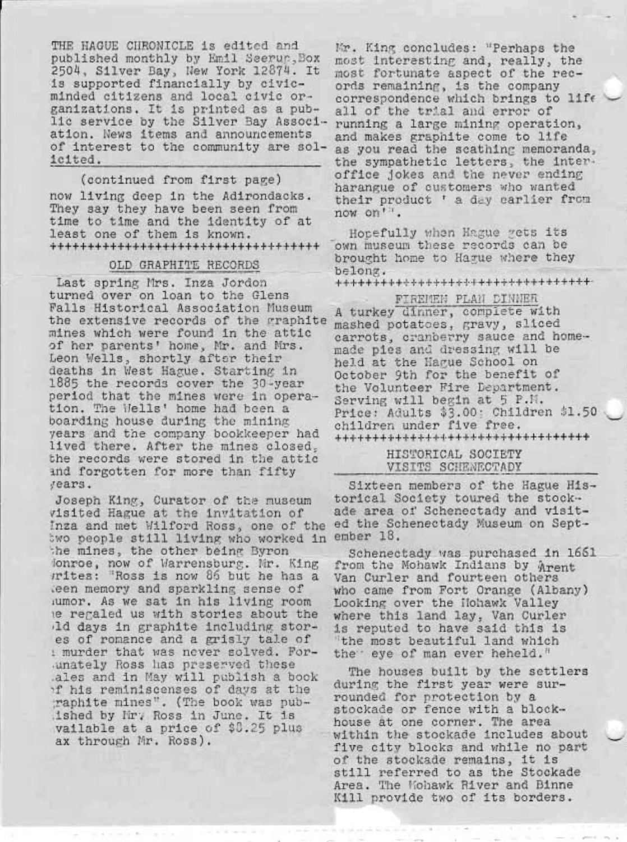THE HAGUE CHRONICLE is edited and published monthly by Emil Seerur. Box 2504, Silver Bay, New York 12874. It is supported financially by civicminded citizens and local civic organizations. It is printed as a public service by the Silver Bay Association. News items and announcements of interest to the community are solicited.

(continued from first page) now living deep in the Adirondacks. They say they have been seen from time to time and the identity of at least one of them is known. \*\*\*\*\*\*\*\*\*\*\*\*\*\*\*\*\*\*\*\*\*\*\*\*\*\*\*\*\*\*\*\*\*\*\*\*

### OLD GRAPHITE RECORDS

Last spring Mrs. Inza Jordon turned over on loan to the Glens Falls Historical Association Museum the extensive records of the graphite mines which were found in the attic of her parents' home, Mr. and Mrs. Leon Wells, shortly after their deaths in West Hague. Starting in 1885 the records cover the 30-year period that the mines were in operation. The Wells' home had been a boarding house during the mining years and the company bookkeeper had lived there. After the mines closed. the records were stored in the attic and forgotten for more than fifty years.

Joseph King, Curator of the museum visited Hague at the invitation of Inza and met Wilford Ross, one of the two people still living who worked in the mines, the other being Byron Jonroe, now of Warrensburg. Nr. King *rrites:* "Ross is now 86 but he has a teen memory and sparkling sense of lumor. As we sat in his living room te regaled us with stories about the Ald days in graphite including stores of romance and a grisly tale of i murder that was never solved. Forunately Ross has preserved these .ales and in May will publish a book of his reminiscenses of days at the raphite mines". (The book was pubished by Mr. Ross in June. It is vailable at a price of \$8.25 plus ax through Mr. Ross).

Mr. King concludes: "Perhaps the most interesting and, really, the most fortunate aspect of the records remaining, is the company correspondence which brings to life all of the trial and error of running a large mining operation, and makes graphite come to life as you read the scathing memoranda, the sympathetic letters, the interoffice jokes and the never ending harangue of customers who wanted their product ' a day carlier from now on'".

Horefully when Hague yets its own museum these records can be brought home to Hague where they belong.

\*\*\*\*\*\*\*\*\*\*\*\*\*\*\*\*\*\*\*\*\*\*\*\*\*\*\*\*\*\*\*\*\*\*

FIREMEN PLAN DINNER A turkey dinner, complete with mashed potatoes, gravy, sliced carrots, cranberry sauce and homemade pies and dressing will be held at the Hague School on October 9th for the benefit of the Volunteer Fire Department. Serving will begin at 5 P.M. Price: Adults \$3.00: Children \$1.50 children under five free. \*\*\*\*\*\*\*\*\*\*\*\*\*\*\*\*\*\*\*\*\*\*\*\*\*\*\*\*\*\*\*\*\*

> HISTORICAL SOCIETY VISITS SCHENECTADY

Sixteen members of the Hague Historical Society toured the stockade area of Schenectady and visited the Schenectady Museum on September 18.

Schenectady was purchased in 1661 from the Mohawk Indians by Arent Van Curler and fourteen others who came from Fort Orange (Albany) Looking over the Hohawk Valley where this land lay, Van Curler is reputed to have said this is "the most beautiful land which the eye of man ever heheld."

The houses built by the settlers during the first year were surrounded for protection by a stockade or fence with a blockhouse at one corner. The area within the stockade includes about five city blocks and while no part of the stockade remains, it is still referred to as the Stockade Area. The Mohawk River and Binne Kill provide two of its borders.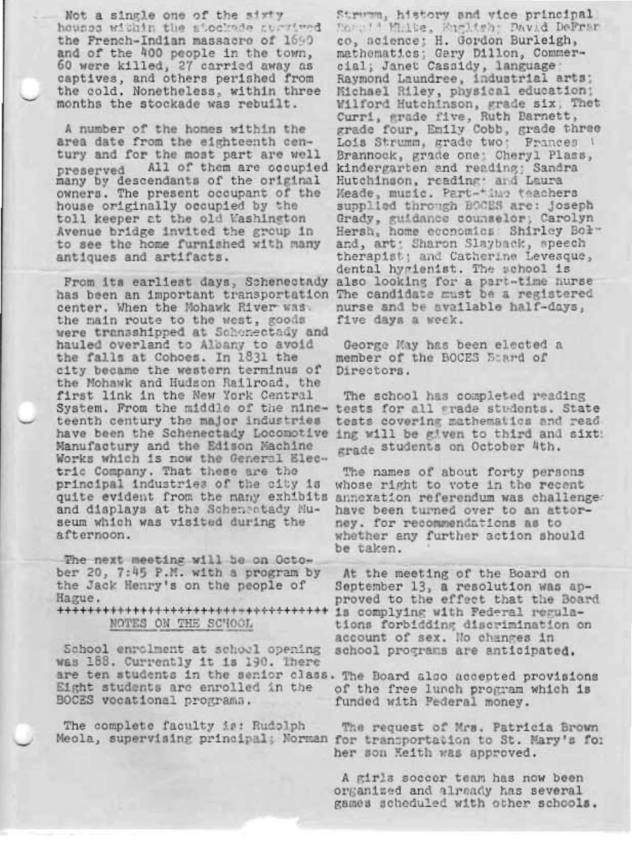Not a single one of the sixty houses within the stockade survived the French-Indian massacro of 1690 and of the 400 people in the town, 60 were killed, 27 carried away as captives, and others perished from the cold. Nonetheless, within three months the stockade was rebuilt.

A number of the homes within the area date from the eighteenth century and for the most part are well All of them are occupied preserved many by descendants of the original owners. The present occupant of the house originally occupied by the toll keeper at the old Washington Avenue bridge invited the group in to see the home furnished with many antiques and artifacts.

From its earliest days, Schenectady has been an important transportation The candidate must be a registered center. When the Mohawk River was. the main route to the west, goods were transshipped at Schonectady and hauled overland to Albany to avoid the falls at Cohoes. In 1831 the city became the western terminus of the Mohawk and Hudson Railroad, the first link in the New York Central System. From the middle of the nine- tests for all grade students. State teenth century the major industries have been the Schenectady Locomotive ing will be given to third and sixt Manufactury and the Edison Machine Works which is now the General Electric Company. That these are the principal industries of the city is quite evident from the many exhibits and displays at the Scheneatady Museum which was visited during the afternoon.

The next meeting will be on October 20, 7:45 P.M. with a program by the Jack Henry's on the people of Hague.

\*\*\*\*\*\*\*\*\*\*\*\*\*\*\*\*\*\*\*\*\*\*\*\*\*\*\*\*\*\*\*\*\*\*\* NOTES ON THE SCHOOL

School enrolment at school opening was 188. Currently it is 190. There are ten students in the senior class. The Board also accepted provisions Eight students are enrolled in the BOCES vocational programs.

The complete faculty is: Rudolph

Strumm, history and vice principal More't Malte, English; David DeFram co, science; H. Gordon Burleigh, mathematics; Gary Dillon, Commercial; Janet Cassidy, language Raymond Laundree, industrial arts; Michael Riley, physical education; Wilford Hutchinson, grade six, Thet<br>Curri, grade five, Ruth Barnett,<br>grade four, Emily Cobb, grade three Lois Strumm, grade two: Frances 1 Brannock, grade one; Cheryl Plass, kindergarten and reading; Sandra Hutchinson, reading: and Laura Meade, music. Part-time teachers supplied through BOCES are: joseph Grady, guidance counselor; Carolyn Hersh, home economics Shirley Bol" and, art; Sharon Slayback, speech therapist; and Catherine Levesque, dental hygienist. The school is also looking for a part-time nurse nurse and be available half-days, five days a week.

George May has been elected a member of the BOCES Beard of Directors.

The school has completed reading tests covering mathematics and read grade students on October 4th.

The names of about forty persons whose right to vote in the recent annexation referendum was challenged have been turned over to an attorney. for recommendations as to whether any further action should be taken.

At the meeting of the Board on September 13, a resolution was approved to the effect that the Board is complying with Federal regulations forbidding discrimination on account of sex. No changes in school programs are anticipated.

of the free lunch program which is funded with Federal money.

The request of Mrs. Patricia Brown Meola, supervising principal; Norman for transportation to St. Mary's for her son Keith was approved.

> A girls soccer team has now been organized and already has several games scheduled with other schools.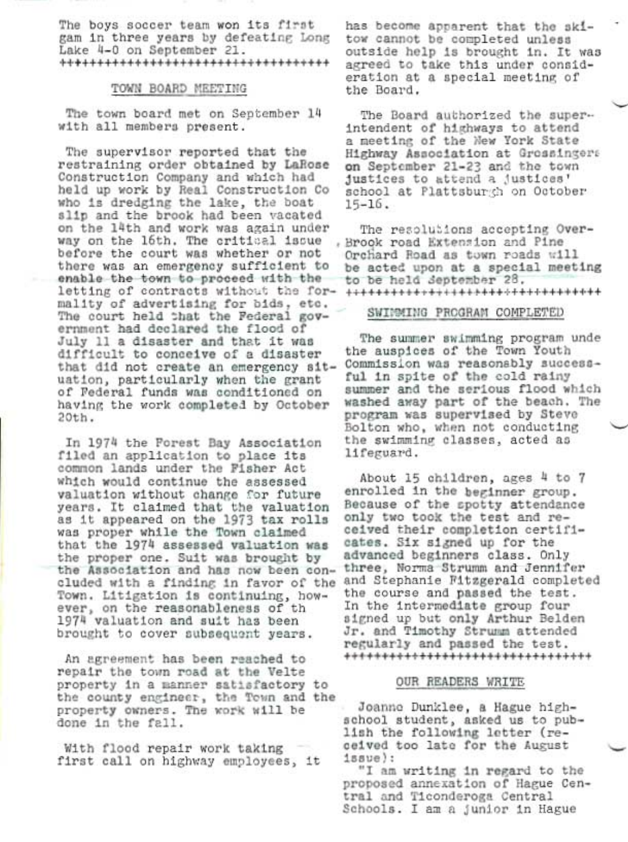The boys soccer team won its first gam in three years by defeating Long Lake 4-0 on September 21. \*\*\*\*\*\*\*\*\*\*\*\*\*\*\*\*\*\*\*\*\*\*\*\*\*\*\*\*\*\*\*\*\*\*\*\*

### TOWN BOARD MEETING

The town board met on September 14 with all members present.

The supervisor reported that the restraining order obtained by LaRose Construction Company and which had held up work by Real Construction Co who is dredging the lake, the boat slip and the brook had been vacated on the 14th and work was again under way on the 16th. The critical issue before the court was whether or not there was an emergency sufficient to enable the town to proceed with the mality of advertising for bids, etc. The court held that the Federal government had declared the flood of July 11 a disaster and that it was difficult to conceive of a disaster that did not create an emergency situation, particularly when the grant of Federal funds was conditioned on having the work completed by October  $20th.$ 

In 1974 the Forest Bay Association filed an application to place its common lands under the Fisher Act which would continue the assessed valuation without change for future years. It claimed that the valuation as it appeared on the 1973 tax rolls was proper while the Town claimed that the 1974 assessed valuation was the proper one. Suit was brought by the Association and has now been concluded with a finding in favor of the Town. Litigation is continuing, however, on the reasonableness of th 1974 valuation and suit has been brought to cover subsequent years.

An agreement has been reached to repair the town road at the Velte property in a manner satisfactory to the county engineer, the Town and the property owners. The work will be done in the fall.

With flood repair work taking first call on highway employees, it has become apparent that the skitow cannot be completed unless outside help is brought in. It was agreed to take this under consideration at a special meeting of the Board.

The Board authorized the superintendent of highways to attend a meeting of the New York State Highway Association at Grossingers on September 21-23 and the town justices to attend a justices' school at Plattsburch on October  $15 - 16$ .

The resolutions accepting Over-. Brook road Extension and Pine Orchard Road as town roads will be acted upon at a special meeting to be held September 28.

## SWINMING PROGRAM COMPLETED

The summer swimming program unde the auspices of the Town Youth Commission was reasonably successful in spite of the cold rainy summer and the serious flood which washed away part of the beach. The program was supervised by Steve Bolton who, when not conducting the swimming classes, acted as lifeguard.

About 15 children, ages 4 to 7 enrolled in the beginner group. Because of the spotty attendance only two took the test and received their completion certificates. Six signed up for the advanced beginners class. Only three, Norma Strumm and Jennifer and Stephanie Fitzgerald completed the course and passed the test. In the intermediate group four signed up but only Arthur Belden Jr. and Timothy Strumm attended regularly and passed the test. \*\*\*\*\*\*\*\*\*\*\*\*\*\*\*\*\*\*\*\*\*\*\*\*\*\*\*\*\*\*\*\*\*

#### OUR READERS WRITE

Joanne Dunklee, a Hague highschool student, asked us to publish the following letter (received too late for the August  $188ve$ :

"I am writing in regard to the proposed annexation of Hague Central and Ticonderoga Central Schools. I am a junior in Hague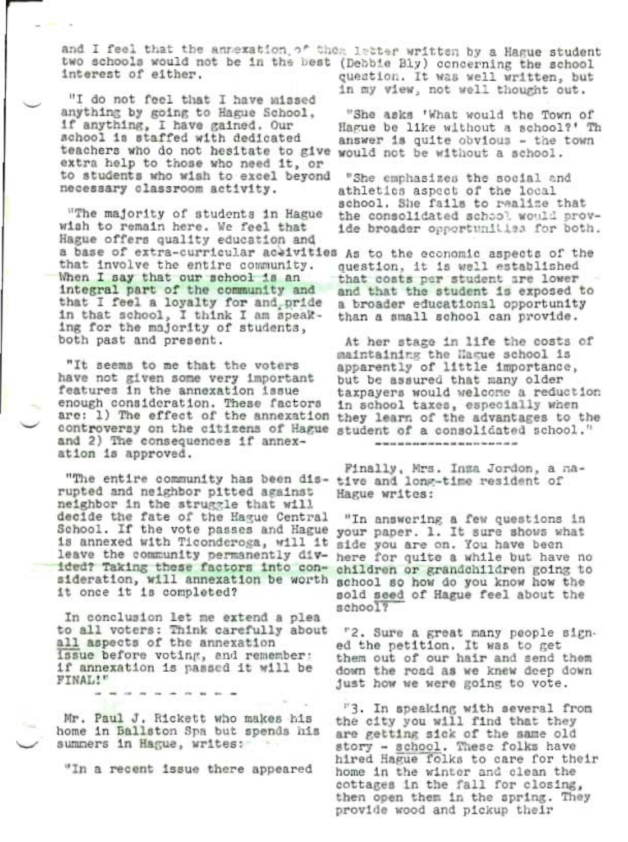and I feel that the annexation of thea letter written by a Hague student two schools would not be in the best (Debbie Bly) concerning the school interest of either. question. It was well written, but

"I do not feel that I have missed anything by going to Hague School, if anything, I have gained. Our school is staffed with dedicated teachers who do not hesitate to give would not be without a school. extra help to those who need it, or to students who wish to excel beyond necessary classroom activity.

"The majority of students in Hague wish to remain here. We feel that Hague offers quality education and a base of extra-curricular aceivities As to the economic aspects of the that involve the entire community. When I say that our school is an integral part of the community and that I feel a loyalty for and pride in that school, I think I am speaking for the majority of students, both past and present.

"It seems to me that the voters have not given some very important features in the annexation issue enough consideration. These factors are: 1) The effect of the annexation they learn of the advantages to the controversy on the citizens of Hague student of a consolidated school." and 2) The consequences if annexation is approved.

"The entire community has been dis- tive and long-time resident of rupted and neighbor pitted against neighbor in the struggle that will decide the fate of the Hague Central School. If the vote passes and Hague your paper. 1. It sure shows what is annexed with Ticonderoga, will it leave the community permanently divided? Taking these factors into consideration, will annexation be worth it once it is completed?

In conclusion let me extend a plea to all voters: Think carefully about all aspects of the annexation issue before voting, and remember: if annexation is passed it will be FINAL!"

Mr. Paul J. Rickett who makes his home in Ballston Spa but spends his summers in Hague, writes:

"In a recent issue there appeared

in my view, not well thought out.

"She asks 'What would the Town of Hague be like without a school?' Th answer is quite obvious - the town

"She emphasizes the social and athletics aspect of the local school. She fails to realize that the consolidated school would provide broader opportunities for both.

question, it is well established that costs per student are lower and that the student is exposed to a broader educational opportunity than a small school can provide.

At her stage in life the costs of maintaining the Hague school is apparently of little importance, but be assured that many older taxpayers would welcome a reduction in school taxes, especially when 

Finally, Mrs. Inza Jordon, a na-Hague writes:

"In answering a few questions in side you are on. You have been here for quite a while but have no children or grandchildren going to school so how do you know how the sold seed of Hague feel about the school?

"2. Sure a great many people signed the petition. It was to get them out of our hair and send them down the road as we knew deep down just how we were going to vote.

"3. In speaking with several from the city you will find that they are getting sick of the same old story - school. These folks have hired Hague folks to care for their home in the winter and clean the cottages in the fall for closing, then open them in the spring. They provide wood and pickup their